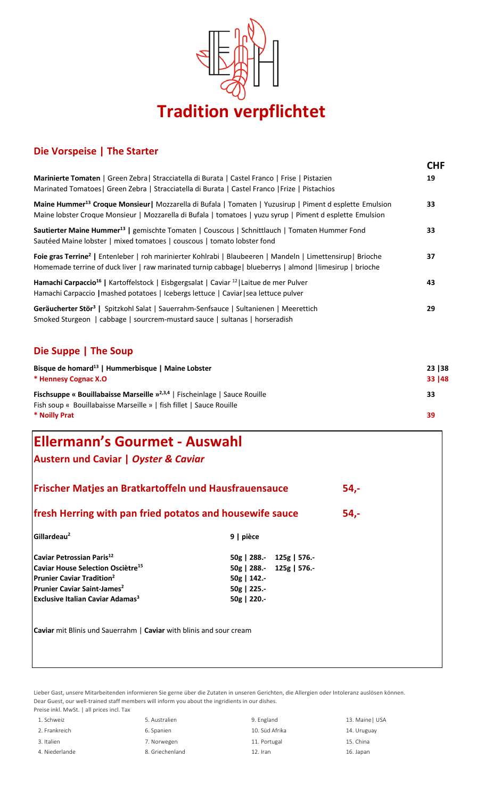

## **Die Vorspeise | The Starter**

|                                                                                                                                                                                                                                                                                                                                                                                                                           |                                                                                                     |  | <b>CHF</b><br>19               |                                                                                                                                                                                                                                     |
|---------------------------------------------------------------------------------------------------------------------------------------------------------------------------------------------------------------------------------------------------------------------------------------------------------------------------------------------------------------------------------------------------------------------------|-----------------------------------------------------------------------------------------------------|--|--------------------------------|-------------------------------------------------------------------------------------------------------------------------------------------------------------------------------------------------------------------------------------|
| Marinierte Tomaten   Green Zebra  Stracciatella di Burata   Castel Franco   Frise   Pistazien<br>Marinated Tomatoes   Green Zebra   Stracciatella di Burata   Castel Franco   Frize   Pistachios                                                                                                                                                                                                                          |                                                                                                     |  |                                |                                                                                                                                                                                                                                     |
| Maine Hummer <sup>13</sup> Croque Monsieur   Mozzarella di Bufala   Tomaten   Yuzusirup   Piment d esplette Emulsion<br>Maine lobster Croque Monsieur   Mozzarella di Bufala   tomatoes   yuzu syrup   Piment d esplette Emulsion<br>Sautierter Maine Hummer <sup>13</sup>   gemischte Tomaten   Couscous   Schnittlauch   Tomaten Hummer Fond<br>Sautéed Maine lobster   mixed tomatoes   couscous   tomato lobster fond |                                                                                                     |  | 33<br>33                       |                                                                                                                                                                                                                                     |
|                                                                                                                                                                                                                                                                                                                                                                                                                           |                                                                                                     |  |                                | Foie gras Terrine <sup>2</sup>   Entenleber   roh marinierter Kohlrabi   Blaubeeren   Mandeln   Limettensirup   Brioche<br>Homemade terrine of duck liver   raw marinated turnip cabbage  blueberrys   almond   limesirup   brioche |
| Hamachi Carpaccio <sup>16</sup>   Kartoffelstock   Eisbgergsalat   Caviar <sup>12</sup>   Laitue de mer Pulver<br>Hamachi Carpaccio   mashed potatoes   Icebergs lettuce   Caviar   sea lettuce pulver                                                                                                                                                                                                                    |                                                                                                     |  | 43                             |                                                                                                                                                                                                                                     |
| Geräucherter Stör <sup>3</sup>   Spitzkohl Salat   Sauerrahm-Senfsauce   Sultanienen   Meerettich<br>Smoked Sturgeon   cabbage   sourcrem-mustard sauce   sultanas   horseradish                                                                                                                                                                                                                                          |                                                                                                     |  |                                |                                                                                                                                                                                                                                     |
| Die Suppe   The Soup                                                                                                                                                                                                                                                                                                                                                                                                      |                                                                                                     |  |                                |                                                                                                                                                                                                                                     |
| Bisque de homard <sup>13</sup>   Hummerbisque   Maine Lobster<br>* Hennesy Cognac X.O<br><b>Fischsuppe « Bouillabaisse Marseille »</b> <sup>2,3,4</sup>   Fischeinlage   Sauce Rouille<br>Fish soup « Bouillabaisse Marseille »   fish fillet   Sauce Rouille<br>* Noilly Prat                                                                                                                                            |                                                                                                     |  | 23   38<br>33   48<br>33<br>39 |                                                                                                                                                                                                                                     |
|                                                                                                                                                                                                                                                                                                                                                                                                                           |                                                                                                     |  |                                | <b>Ellermann's Gourmet - Auswahl</b>                                                                                                                                                                                                |
| Austern und Caviar   Oyster & Caviar                                                                                                                                                                                                                                                                                                                                                                                      |                                                                                                     |  |                                |                                                                                                                                                                                                                                     |
| Frischer Matjes an Bratkartoffeln und Hausfrauensauce<br>54,-                                                                                                                                                                                                                                                                                                                                                             |                                                                                                     |  |                                |                                                                                                                                                                                                                                     |
| fresh Herring with pan fried potatos and housewife sauce<br>54,-                                                                                                                                                                                                                                                                                                                                                          |                                                                                                     |  |                                |                                                                                                                                                                                                                                     |
| Gillardeau <sup>2</sup>                                                                                                                                                                                                                                                                                                                                                                                                   | 9   pièce                                                                                           |  |                                |                                                                                                                                                                                                                                     |
| Caviar Petrossian Paris <sup>12</sup><br>Caviar House Selection Osciètre <sup>15</sup><br><b>Prunier Caviar Tradition<sup>2</sup></b><br>Prunier Caviar Saint-James <sup>2</sup><br><b>Exclusive Italian Caviar Adamas</b> <sup>3</sup>                                                                                                                                                                                   | 50g   288.- 125g   576.-<br>50g   288.- 125g   576.-<br>$50g$   142.-<br>50g   225.-<br>50g   220.- |  |                                |                                                                                                                                                                                                                                     |
| Caviar mit Blinis und Sauerrahm   Caviar with blinis and sour cream                                                                                                                                                                                                                                                                                                                                                       |                                                                                                     |  |                                |                                                                                                                                                                                                                                     |
|                                                                                                                                                                                                                                                                                                                                                                                                                           |                                                                                                     |  |                                |                                                                                                                                                                                                                                     |
|                                                                                                                                                                                                                                                                                                                                                                                                                           |                                                                                                     |  |                                |                                                                                                                                                                                                                                     |

Lieber Gast, unsere Mitarbeitenden informieren Sie gerne über die Zutaten in unseren Gerichten, die Allergien oder Intoleranz auslösen können. Dear Guest, our well-trained staff members will inform you about the ingridients in our dishes. Preise inkl. MwSt. | all prices incl. Tax

| 1. Schweiz     | 5. Australien   | 9. England     | 13. Maine   USA |
|----------------|-----------------|----------------|-----------------|
| 2. Frankreich  | 6. Spanien      | 10. Süd Afrika | 14. Uruguay     |
| 3. Italien     | 7. Norwegen     | 11. Portugal   | 15. China       |
| 4. Niederlande | 8. Griechenland | 12. Iran       | 16. Japan       |